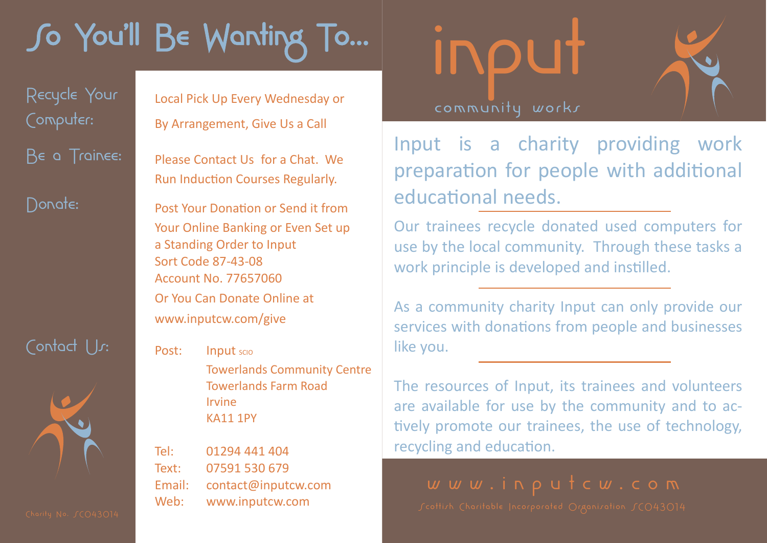## So You'll Be Wanting To…

Contact Us: Post: Input scio



Recycle Your Local Pick Up Every Wednesday or Computer: By Arrangement, Give Us a Call

Be a Trainee: Please Contact Us for a Chat. We Run Induction Courses Regularly.

Donate: Post Your Donation or Send it from Your Online Banking or Even Set up a Standing Order to Input Sort Code 87-43-08 Account No. 77657060 Or You Can Donate Online at www.inputcw.com/give

> Towerlands Community Centre Towerlands Farm Road Irvine KA11 1PY

Tel: 01294 441 404 Text: 07591 530 679 Email: contact@inputcw.com Web: www.inputcw.com

## INPUT

Input is a charity providing work preparation for people with additional educational needs.

Our trainees recycle donated used computers for use by the local community. Through these tasks a work principle is developed and instilled.

As a community charity Input can only provide our services with donations from people and businesses like you.

The resources of Input, its trainees and volunteers are available for use by the community and to actively promote our trainees, the use of technology, recycling and education.